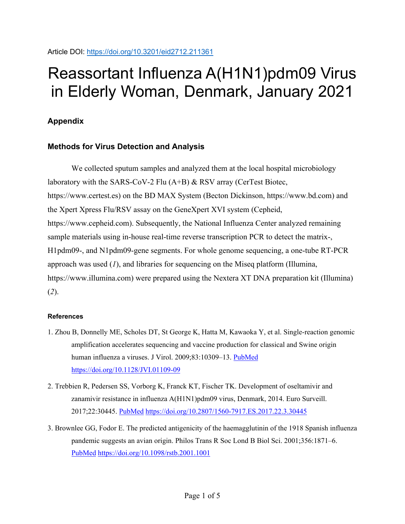Article DOI:<https://doi.org/10.3201/eid2712.211361>

## Reassortant Influenza A(H1N1)pdm09 Virus in Elderly Woman, Denmark, January 2021

## **Appendix**

## **Methods for Virus Detection and Analysis**

We collected sputum samples and analyzed them at the local hospital microbiology laboratory with the SARS-CoV-2 Flu (A+B) & RSV array (CerTest Biotec, https://www.certest.es) on the BD MAX System (Becton Dickinson, https://www.bd.com) and the Xpert Xpress Flu/RSV assay on the GeneXpert XVI system (Cepheid, https://www.cepheid.com). Subsequently, the National Influenza Center analyzed remaining sample materials using in-house real-time reverse transcription PCR to detect the matrix-, H1pdm09-, and N1pdm09-gene segments. For whole genome sequencing, a one-tube RT-PCR approach was used (*1*), and libraries for sequencing on the Miseq platform (Illumina, https://www.illumina.com) were prepared using the Nextera XT DNA preparation kit (Illumina) (*2*).

## **References**

- 1. Zhou B, Donnelly ME, Scholes DT, St George K, Hatta M, Kawaoka Y, et al. Single-reaction genomic amplification accelerates sequencing and vaccine production for classical and Swine origin human influenza a viruses. J Virol. 2009;83:10309–13. [PubMed](https://www.ncbi.nlm.nih.gov/entrez/query.fcgi?cmd=Retrieve&db=PubMed&list_uids=19605485&dopt=Abstract) <https://doi.org/10.1128/JVI.01109-09>
- 2. Trebbien R, Pedersen SS, Vorborg K, Franck KT, Fischer TK. Development of oseltamivir and zanamivir resistance in influenza A(H1N1)pdm09 virus, Denmark, 2014. Euro Surveill. 2017;22:30445. [PubMed](https://www.ncbi.nlm.nih.gov/entrez/query.fcgi?cmd=Retrieve&db=PubMed&list_uids=28128091&dopt=Abstract) <https://doi.org/10.2807/1560-7917.ES.2017.22.3.30445>
- 3. Brownlee GG, Fodor E. The predicted antigenicity of the haemagglutinin of the 1918 Spanish influenza pandemic suggests an avian origin. Philos Trans R Soc Lond B Biol Sci. 2001;356:1871–6[.](https://www.ncbi.nlm.nih.gov/entrez/query.fcgi?cmd=Retrieve&db=PubMed&list_uids=11779386&dopt=Abstract) [PubMed](https://www.ncbi.nlm.nih.gov/entrez/query.fcgi?cmd=Retrieve&db=PubMed&list_uids=11779386&dopt=Abstract) <https://doi.org/10.1098/rstb.2001.1001>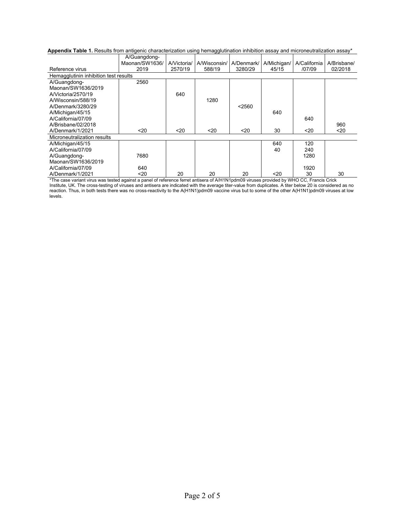|                                       | A/Guangdong-     |             |              |            |             |              |             |
|---------------------------------------|------------------|-------------|--------------|------------|-------------|--------------|-------------|
|                                       | Maonan/SW1636/   | A/Victoria/ | A/Wisconsin/ | A/Denmark/ | A/Michigan/ | A/California | A/Brisbane/ |
| Reference virus                       | 2019             | 2570/19     | 588/19       | 3280/29    | 45/15       | /07/09       | 02/2018     |
| Hemagglutinin inhibition test results |                  |             |              |            |             |              |             |
| A/Guangdong-                          | 2560             |             |              |            |             |              |             |
| Maonan/SW1636/2019                    |                  |             |              |            |             |              |             |
| A/Victoria/2570/19                    |                  | 640         |              |            |             |              |             |
| A/Wisconsin/588/19                    |                  |             | 1280         |            |             |              |             |
| A/Denmark/3280/29                     |                  |             |              | < 2560     |             |              |             |
| A/Michigan/45/15                      |                  |             |              |            | 640         |              |             |
| A/California/07/09                    |                  |             |              |            |             | 640          |             |
| A/Brisbane/02/2018                    |                  |             |              |            |             |              | 960         |
| A/Denmark/1/2021                      | 20 <sub>20</sub> | $20$        | $20$         | $20$       | 30          | $20$         | $20$        |
| Microneutralization results           |                  |             |              |            |             |              |             |
| A/Michigan/45/15                      |                  |             |              |            | 640         | 120          |             |
| A/California/07/09                    |                  |             |              |            | 40          | 240          |             |
| A/Guangdong-                          | 7680             |             |              |            |             | 1280         |             |
| Maonan/SW1636/2019                    |                  |             |              |            |             |              |             |
| A/California/07/09                    | 640              |             |              |            |             | 1920         |             |
| A/Denmark/1/2021                      | $20$             | 20          | 20           | 20         | $20$        | 30           | 30          |

\*The case variant virus was tested against a panel of reference ferret antisera of A/H1N1pdm09 viruses provided by WHO CC, Francis Crick Institute, UK. The cross-testing of viruses and antisera are indicated with the average titer-value from duplicates. A titer below 20 is considered as no reaction. Thus, in both tests there was no cross-reactivity to the A(H1N1)pdm09 vaccine virus but to some of the other A(H1N1)pdm09 viruses at low levels.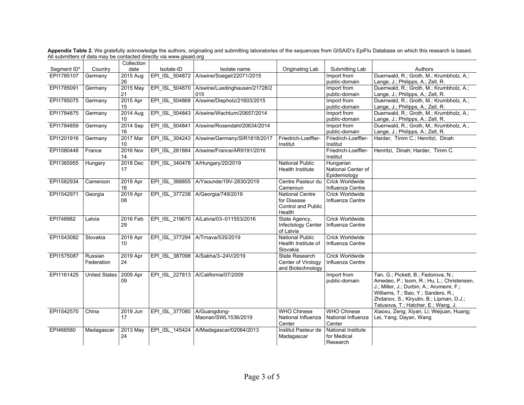|             |                       | Collection            |                |                                        |                                                                              |                                                    |                                                                                                                                                                                                                                                         |
|-------------|-----------------------|-----------------------|----------------|----------------------------------------|------------------------------------------------------------------------------|----------------------------------------------------|---------------------------------------------------------------------------------------------------------------------------------------------------------------------------------------------------------------------------------------------------------|
| Segment ID* | Country               | date                  | Isolate-ID     | Isolate name                           | Originating Lab                                                              | Submitting Lab                                     | Authors                                                                                                                                                                                                                                                 |
| EPI1785107  | Germany               | 2015 Aug<br>26        | EPI ISL 504872 | A/swine/Soegel/22071/2015              |                                                                              | Import from<br>public-domain                       | Duerrwald, R.; Groth, M.; Krumbholz, A.;<br>Lange, J.; Philipps, A.; Zell, R.                                                                                                                                                                           |
| EPI1785091  | Germany               | 2015 May<br>21        | EPI ISL 504870 | A/swine/Luedinghausen/21728/2<br>015   |                                                                              | Import from<br>public-domain                       | Duerrwald, R.; Groth, M.; Krumbholz, A.;<br>Lange, J.; Philipps, A.; Zell, R.                                                                                                                                                                           |
| EPI1785075  | Germany               | 2015 Apr<br>15        | EPI ISL 504868 | A/swine/Diepholz/21603/2015            |                                                                              | Import from<br>public-domain                       | Duerrwald, R.; Groth, M.; Krumbholz, A.;<br>Lange, J.; Philipps, A.; Zell, R.                                                                                                                                                                           |
| EPI1784875  | Germany               | 2014 Aug<br>10        | EPI ISL 504843 | A/swine/Wachtum/20657/2014             |                                                                              | Import from<br>public-domain                       | Duerrwald, R.; Groth, M.; Krumbholz, A.;<br>Lange, J.; Philipps, A.; Zell, R.                                                                                                                                                                           |
| EPI1784859  | Germany               | 2014 Sep<br>16        | EPI ISL 504841 | A/swine/Rosendahl/20634/2014           |                                                                              | Import from<br>public-domain                       | Duerrwald, R.; Groth, M.; Krumbholz, A.;<br>Lange, J.; Philipps, A.; Zell, R.                                                                                                                                                                           |
| EPI1201916  | Germany               | 2017 Mar<br>10        | EPI ISL 304243 | A/swine/Germany/SIR1818/2017           | Friedrich-Loeffler-<br>Institut                                              | Friedrich-Loeffler-<br>Institut                    | Harder, Timm C.; Henritzi, Dinah                                                                                                                                                                                                                        |
| EPI1080448  | France                | <b>2016 Nov</b><br>14 | EPI ISL 281884 | A/swine/France/AR9191/2016             |                                                                              | Friedrich-Loeffler-<br>Institut                    | Henritzi, Dinah; Harder, Timm C.                                                                                                                                                                                                                        |
| EPI1365955  | Hungary               | 2018 Dec<br>17        |                | EPI ISL 340478 A/Hungary/20/2019       | <b>National Public</b><br><b>Health Institute</b>                            | Hungarian<br>National Center of<br>Epidemiology    |                                                                                                                                                                                                                                                         |
| EPI1582934  | Cameroon              | 2019 Apr<br>16        |                | EPI ISL 388855 A/Yaounde/19V-2830/2019 | Centre Pasteur du<br>Cameroun                                                | <b>Crick Worldwide</b><br>Influenza Centre         |                                                                                                                                                                                                                                                         |
| EPI1542971  | Georgia               | 2019 Apr<br>08        |                | EPI ISL 377238 A/Georgia/749/2019      | <b>National Centre</b><br>for Disease<br><b>Control and Public</b><br>Health | Crick Worldwide<br>Influenza Centre                |                                                                                                                                                                                                                                                         |
| EPI748982   | Latvia                | 2016 Feb<br>29        |                | EPI ISL 219670 A/Latvia/03-011553/2016 | State Agency,<br><b>Infectology Center</b><br>of Latvia                      | Crick Worldwide<br>Influenza Centre                |                                                                                                                                                                                                                                                         |
| EPI1543082  | Slovakia              | 2019 Apr<br>10        |                | EPI ISL 377294 A/Trnava/535/2019       | <b>National Public</b><br>Health Institute of<br>Slovakia                    | Crick Worldwide<br>Influenza Centre                |                                                                                                                                                                                                                                                         |
| EPI1575087  | Russian<br>Federation | 2019 Apr<br>24        |                | EPI ISL 387098 A/Sakha/3-24V/2019      | <b>State Research</b><br>Center of Virology<br>and Biotechnology             | Crick Worldwide<br>Influenza Centre                |                                                                                                                                                                                                                                                         |
| EPI1161425  | <b>United States</b>  | 2009 Apr<br>09        |                | EPI ISL 227813 A/California/07/2009    |                                                                              | Import from<br>public-domain                       | Tan, G.; Pickett, B.; Fedorova, N.;<br>Amedeo, P.; Isom, R.; Hu, L.; Christensen,<br>J.; Miller, J.; Durbin, A.; Arumemi, F.;<br>Williams, T.; Bao, Y.; Sanders, R.;<br>Zhdanov, S.; Kiryutin, B.; Lipman, D.J.;<br>Tatusova, T.; Hatcher, E.; Wang, J. |
| EPI1542570  | China                 | 2019 Jun<br>17        | EPI ISL 377080 | A/Guangdong-<br>Maonan/SWL1536/2019    | <b>WHO Chinese</b><br>National Influenza<br>Center                           | <b>WHO Chinese</b><br>National Influenza<br>Center | Xiaoxu, Zeng; Xiyan, Li; Weijuan, Huang;<br>Lei, Yang; Dayan, Wang                                                                                                                                                                                      |
| EPI466580   | Madagascar            | 2013 May<br>24        |                | EPI ISL 145424 A/Madagascar/02064/2013 | Institut Pasteur de<br>Madagascar                                            | National Institute<br>for Medical<br>Research      |                                                                                                                                                                                                                                                         |

**Appendix Table 2.** We gratefully acknowledge the authors, originating and submitting laboratories of the sequences from GISAID's EpiFlu Database on which this research is based. All submitters of data may be contacted directly via www.gisaid.org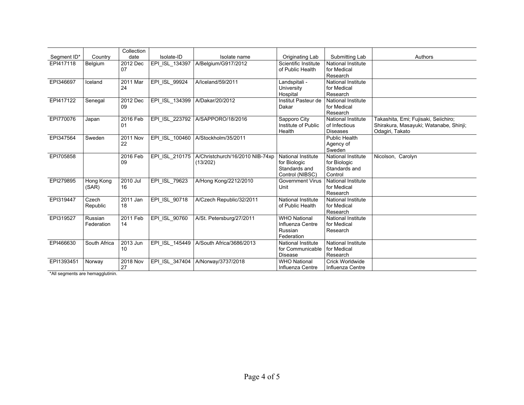|             |              | Collection      |                |                                 |                           |                           |                                        |
|-------------|--------------|-----------------|----------------|---------------------------------|---------------------------|---------------------------|----------------------------------------|
| Segment ID* | Country      | date            | Isolate-ID     | Isolate name                    | Originating Lab           | Submitting Lab            | Authors                                |
| EPI417118   | Belgium      | 2012 Dec        | EPI_ISL_134397 | A/Belgium/G917/2012             | Scientific Institute      | <b>National Institute</b> |                                        |
|             |              | 07              |                |                                 | of Public Health          | for Medical               |                                        |
|             |              |                 |                |                                 |                           | Research                  |                                        |
| EPI346697   | Iceland      | 2011 Mar        | EPI ISL 99924  | A/Iceland/59/2011               | Landspitali -             | National Institute        |                                        |
|             |              | 24              |                |                                 | University                | for Medical               |                                        |
|             |              |                 |                |                                 | Hospital                  | Research                  |                                        |
| EPI417122   | Senegal      | 2012 Dec        | EPI ISL 134399 | A/Dakar/20/2012                 | Institut Pasteur de       | National Institute        |                                        |
|             |              | 09              |                |                                 | Dakar                     | for Medical               |                                        |
|             |              |                 |                |                                 |                           | Research                  |                                        |
| EPI770076   | Japan        | 2016 Feb        | EPI ISL 223792 | A/SAPPORO/18/2016               | Sapporo City              | <b>National Institute</b> | Takashita, Emi; Fujisaki, Seiichiro;   |
|             |              | 01              |                |                                 | Institute of Public       | of Infectious             | Shirakura, Masayuki; Watanabe, Shinji; |
|             |              |                 |                |                                 | Health                    | <b>Diseases</b>           | Odagiri, Takato                        |
| EPI347564   | Sweden       | <b>2011 Nov</b> | EPI ISL 100460 | A/Stockholm/35/2011             |                           | <b>Public Health</b>      |                                        |
|             |              | 22              |                |                                 |                           | Agency of                 |                                        |
|             |              |                 |                |                                 |                           | Sweden                    |                                        |
| EPI705858   |              | 2016 Feb        | EPI ISL 210175 | A/Christchurch/16/2010 NIB-74xp | <b>National Institute</b> | <b>National Institute</b> | Nicolson, Carolyn                      |
|             |              | 09              |                | (13/202)                        | for Biologic              | for Biologic              |                                        |
|             |              |                 |                |                                 | Standards and             | Standards and             |                                        |
|             |              |                 |                |                                 | Control (NIBSC)           | Control                   |                                        |
| EPI279895   | Hong Kong    | 2010 Jul        | EPI ISL 79623  | A/Hong Kong/2212/2010           | <b>Government Virus</b>   | National Institute        |                                        |
|             | (SAR)        | 16              |                |                                 | Unit                      | for Medical               |                                        |
|             |              |                 |                |                                 |                           | Research                  |                                        |
| EPI319447   | Czech        | 2011 Jan        | EPI ISL 90718  | A/Czech Republic/32/2011        | <b>National Institute</b> | <b>National Institute</b> |                                        |
|             | Republic     | 18              |                |                                 | of Public Health          | for Medical               |                                        |
|             |              |                 |                |                                 |                           | Research                  |                                        |
| EPI319527   | Russian      | 2011 Feb        | EPI ISL 90760  | A/St. Petersburg/27/2011        | <b>WHO National</b>       | National Institute        |                                        |
|             | Federation   | 14              |                |                                 | Influenza Centre          | for Medical               |                                        |
|             |              |                 |                |                                 | Russian                   | Research                  |                                        |
|             |              |                 |                |                                 | Federation                |                           |                                        |
| EPI466630   | South Africa | 2013 Jun        | EPI ISL 145449 | A/South Africa/3686/2013        | <b>National Institute</b> | <b>National Institute</b> |                                        |
|             |              | 10              |                |                                 | for Communicable          | for Medical               |                                        |
|             |              |                 |                |                                 | <b>Disease</b>            | Research                  |                                        |
| EPI1393451  | Norway       | 2018 Nov        | EPI ISL 347404 | A/Norway/3737/2018              | <b>WHO National</b>       | Crick Worldwide           |                                        |
|             |              | 27              |                |                                 | Influenza Centre          | Influenza Centre          |                                        |

\*All segments are hemagglutinin.